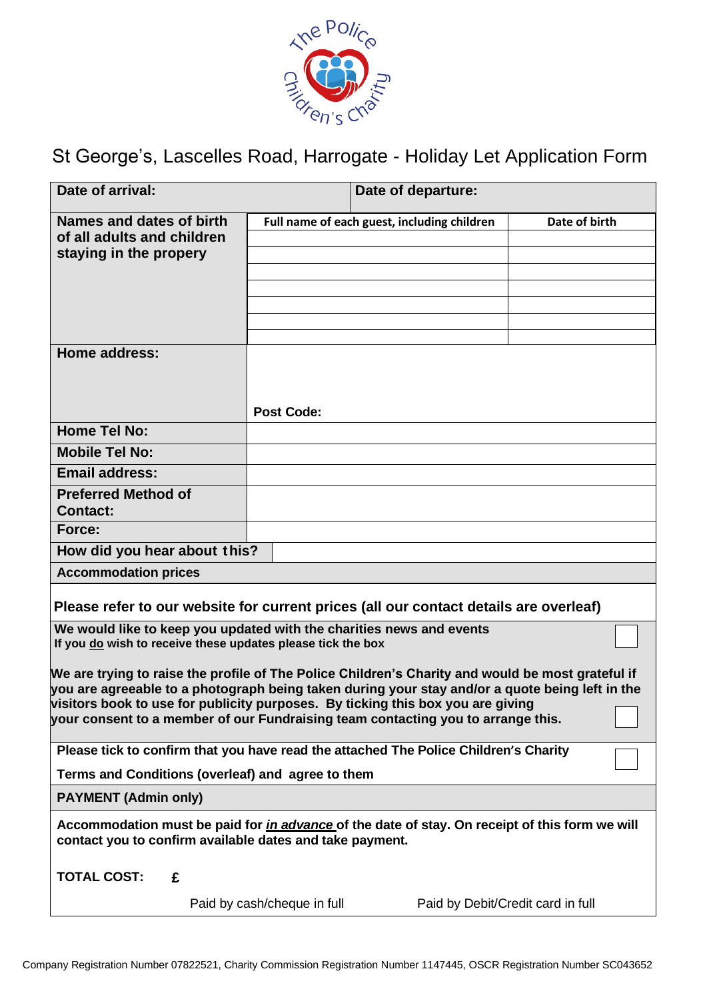

St George's, Lascelles Road, Harrogate - Holiday Let Application Form

| Date of arrival:                                                                                                                                                                                                                                                                                                                                                            |                             | Date of departure:                          |               |
|-----------------------------------------------------------------------------------------------------------------------------------------------------------------------------------------------------------------------------------------------------------------------------------------------------------------------------------------------------------------------------|-----------------------------|---------------------------------------------|---------------|
| Names and dates of birth<br>of all adults and children<br>staying in the propery                                                                                                                                                                                                                                                                                            |                             | Full name of each guest, including children | Date of birth |
|                                                                                                                                                                                                                                                                                                                                                                             |                             |                                             |               |
| <b>Home address:</b>                                                                                                                                                                                                                                                                                                                                                        | <b>Post Code:</b>           |                                             |               |
| <b>Home Tel No:</b>                                                                                                                                                                                                                                                                                                                                                         |                             |                                             |               |
| <b>Mobile Tel No:</b>                                                                                                                                                                                                                                                                                                                                                       |                             |                                             |               |
| <b>Email address:</b>                                                                                                                                                                                                                                                                                                                                                       |                             |                                             |               |
| <b>Preferred Method of</b><br><b>Contact:</b>                                                                                                                                                                                                                                                                                                                               |                             |                                             |               |
| Force:                                                                                                                                                                                                                                                                                                                                                                      |                             |                                             |               |
| How did you hear about this?                                                                                                                                                                                                                                                                                                                                                |                             |                                             |               |
| <b>Accommodation prices</b>                                                                                                                                                                                                                                                                                                                                                 |                             |                                             |               |
| Please refer to our website for current prices (all our contact details are overleaf)                                                                                                                                                                                                                                                                                       |                             |                                             |               |
| We would like to keep you updated with the charities news and events<br>If you do wish to receive these updates please tick the box                                                                                                                                                                                                                                         |                             |                                             |               |
| We are trying to raise the profile of The Police Children's Charity and would be most grateful if<br>you are agreeable to a photograph being taken during your stay and/or a quote being left in the<br>visitors book to use for publicity purposes. By ticking this box you are giving<br>your consent to a member of our Fundraising team contacting you to arrange this. |                             |                                             |               |
| Please tick to confirm that you have read the attached The Police Children's Charity                                                                                                                                                                                                                                                                                        |                             |                                             |               |
| Terms and Conditions (overleaf) and agree to them                                                                                                                                                                                                                                                                                                                           |                             |                                             |               |
| <b>PAYMENT (Admin only)</b>                                                                                                                                                                                                                                                                                                                                                 |                             |                                             |               |
| Accommodation must be paid for <i>in advance</i> of the date of stay. On receipt of this form we will<br>contact you to confirm available dates and take payment.                                                                                                                                                                                                           |                             |                                             |               |
| <b>TOTAL COST:</b><br>£                                                                                                                                                                                                                                                                                                                                                     |                             |                                             |               |
|                                                                                                                                                                                                                                                                                                                                                                             | Paid by cash/cheque in full | Paid by Debit/Credit card in full           |               |